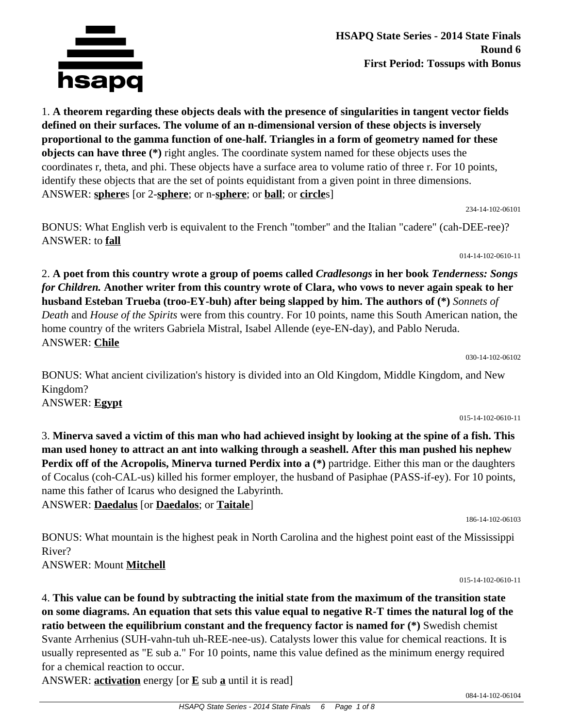

**HSAPQ State Series - 2014 State Finals Round 6 First Period: Tossups with Bonus**

1. **A theorem regarding these objects deals with the presence of singularities in tangent vector fields defined on their surfaces. The volume of an n-dimensional version of these objects is inversely proportional to the gamma function of one-half. Triangles in a form of geometry named for these objects can have three (\*)** right angles. The coordinate system named for these objects uses the coordinates r, theta, and phi. These objects have a surface area to volume ratio of three r. For 10 points, identify these objects that are the set of points equidistant from a given point in three dimensions. ANSWER: **sphere**s [or 2-**sphere**; or n-**sphere**; or **ball**; or **circle**s]

234-14-102-06101

014-14-102-0610-11

BONUS: What English verb is equivalent to the French "tomber" and the Italian "cadere" (cah-DEE-ree)? ANSWER: to **fall**

2. **A poet from this country wrote a group of poems called** *Cradlesongs* **in her book** *Tenderness: Songs for Children.* **Another writer from this country wrote of Clara, who vows to never again speak to her husband Esteban Trueba (troo-EY-buh) after being slapped by him. The authors of (\*)** *Sonnets of Death* and *House of the Spirits* were from this country. For 10 points, name this South American nation, the home country of the writers Gabriela Mistral, Isabel Allende (eye-EN-day), and Pablo Neruda. ANSWER: **Chile**

BONUS: What ancient civilization's history is divided into an Old Kingdom, Middle Kingdom, and New Kingdom?

ANSWER: **Egypt**

3. **Minerva saved a victim of this man who had achieved insight by looking at the spine of a fish. This man used honey to attract an ant into walking through a seashell. After this man pushed his nephew Perdix off of the Acropolis, Minerva turned Perdix into a (\*)** partridge. Either this man or the daughters of Cocalus (coh-CAL-us) killed his former employer, the husband of Pasiphae (PASS-if-ey). For 10 points, name this father of Icarus who designed the Labyrinth.

ANSWER: **Daedalus** [or **Daedalos**; or **Taitale**]

BONUS: What mountain is the highest peak in North Carolina and the highest point east of the Mississippi River?

ANSWER: Mount **Mitchell**

4. **This value can be found by subtracting the initial state from the maximum of the transition state on some diagrams. An equation that sets this value equal to negative R-T times the natural log of the ratio between the equilibrium constant and the frequency factor is named for (\*)** Swedish chemist Svante Arrhenius (SUH-vahn-tuh uh-REE-nee-us). Catalysts lower this value for chemical reactions. It is usually represented as "E sub a." For 10 points, name this value defined as the minimum energy required for a chemical reaction to occur.

ANSWER: **activation** energy [or **E** sub **a** until it is read]

030-14-102-06102

015-14-102-0610-11

015-14-102-0610-11

186-14-102-06103

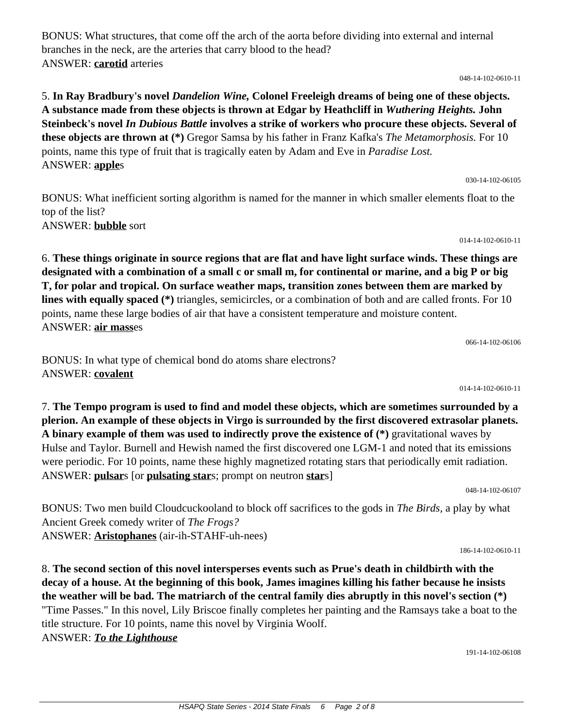BONUS: What structures, that come off the arch of the aorta before dividing into external and internal branches in the neck, are the arteries that carry blood to the head? ANSWER: **carotid** arteries

048-14-102-0610-11

# 5. **In Ray Bradbury's novel** *Dandelion Wine,* **Colonel Freeleigh dreams of being one of these objects. A substance made from these objects is thrown at Edgar by Heathcliff in** *Wuthering Heights.* **John Steinbeck's novel** *In Dubious Battle* **involves a strike of workers who procure these objects. Several of these objects are thrown at (\*)** Gregor Samsa by his father in Franz Kafka's *The Metamorphosis.* For 10 points, name this type of fruit that is tragically eaten by Adam and Eve in *Paradise Lost.* ANSWER: **apple**s

030-14-102-06105

BONUS: What inefficient sorting algorithm is named for the manner in which smaller elements float to the top of the list? ANSWER: **bubble** sort

014-14-102-0610-11

6. **These things originate in source regions that are flat and have light surface winds. These things are designated with a combination of a small c or small m, for continental or marine, and a big P or big T, for polar and tropical. On surface weather maps, transition zones between them are marked by lines with equally spaced (\*)** triangles, semicircles, or a combination of both and are called fronts. For 10 points, name these large bodies of air that have a consistent temperature and moisture content. ANSWER: **air mass**es

066-14-102-06106

BONUS: In what type of chemical bond do atoms share electrons? ANSWER: **covalent**

014-14-102-0610-11

7. **The Tempo program is used to find and model these objects, which are sometimes surrounded by a plerion. An example of these objects in Virgo is surrounded by the first discovered extrasolar planets. A binary example of them was used to indirectly prove the existence of (\*)** gravitational waves by Hulse and Taylor. Burnell and Hewish named the first discovered one LGM-1 and noted that its emissions were periodic. For 10 points, name these highly magnetized rotating stars that periodically emit radiation. ANSWER: **pulsar**s [or **pulsating star**s; prompt on neutron **star**s]

048-14-102-06107

BONUS: Two men build Cloudcuckooland to block off sacrifices to the gods in *The Birds,* a play by what Ancient Greek comedy writer of *The Frogs?* ANSWER: **Aristophanes** (air-ih-STAHF-uh-nees)

186-14-102-0610-11

8. **The second section of this novel intersperses events such as Prue's death in childbirth with the decay of a house. At the beginning of this book, James imagines killing his father because he insists the weather will be bad. The matriarch of the central family dies abruptly in this novel's section (\*)** "Time Passes." In this novel, Lily Briscoe finally completes her painting and the Ramsays take a boat to the title structure. For 10 points, name this novel by Virginia Woolf. ANSWER: *To the Lighthouse*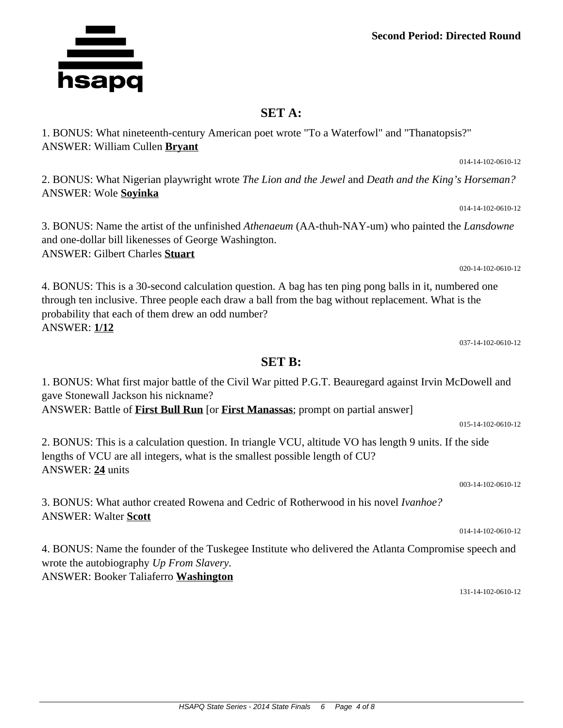**Second Period: Directed Round**

### **SET A:**

1. BONUS: What nineteenth-century American poet wrote "To a Waterfowl" and "Thanatopsis?" ANSWER: William Cullen **Bryant**

2. BONUS: What Nigerian playwright wrote *The Lion and the Jewel* and *Death and the King's Horseman?* ANSWER: Wole **Soyinka**

3. BONUS: Name the artist of the unfinished *Athenaeum* (AA-thuh-NAY-um) who painted the *Lansdowne* and one-dollar bill likenesses of George Washington. ANSWER: Gilbert Charles **Stuart**

4. BONUS: This is a 30-second calculation question. A bag has ten ping pong balls in it, numbered one through ten inclusive. Three people each draw a ball from the bag without replacement. What is the probability that each of them drew an odd number? ANSWER: **1/12**

037-14-102-0610-12

#### **SET B:**

# 1. BONUS: What first major battle of the Civil War pitted P.G.T. Beauregard against Irvin McDowell and gave Stonewall Jackson his nickname? ANSWER: Battle of **First Bull Run** [or **First Manassas**; prompt on partial answer] 015-14-102-0610-12 2. BONUS: This is a calculation question. In triangle VCU, altitude VO has length 9 units. If the side lengths of VCU are all integers, what is the smallest possible length of CU?

3. BONUS: What author created Rowena and Cedric of Rotherwood in his novel *Ivanhoe?* ANSWER: Walter **Scott**

4. BONUS: Name the founder of the Tuskegee Institute who delivered the Atlanta Compromise speech and wrote the autobiography *Up From Slavery.* ANSWER: Booker Taliaferro **Washington**

131-14-102-0610-12



ANSWER: **24** units

014-14-102-0610-12

014-14-102-0610-12

020-14-102-0610-12

003-14-102-0610-12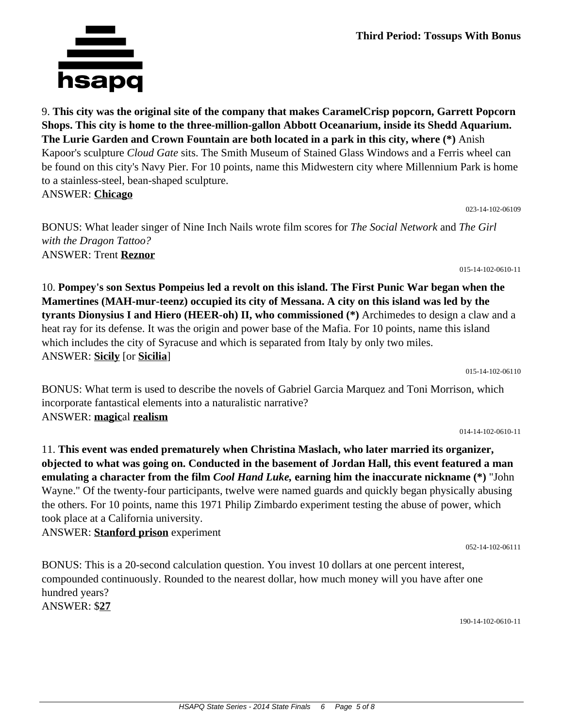9. **This city was the original site of the company that makes CaramelCrisp popcorn, Garrett Popcorn Shops. This city is home to the three-million-gallon Abbott Oceanarium, inside its Shedd Aquarium. The Lurie Garden and Crown Fountain are both located in a park in this city, where (\*)** Anish Kapoor's sculpture *Cloud Gate* sits. The Smith Museum of Stained Glass Windows and a Ferris wheel can be found on this city's Navy Pier. For 10 points, name this Midwestern city where Millennium Park is home to a stainless-steel, bean-shaped sculpture. ANSWER: **Chicago**

BONUS: What leader singer of Nine Inch Nails wrote film scores for *The Social Network* and *The Girl with the Dragon Tattoo?* ANSWER: Trent **Reznor**

10. **Pompey's son Sextus Pompeius led a revolt on this island. The First Punic War began when the Mamertines (MAH-mur-teenz) occupied its city of Messana. A city on this island was led by the tyrants Dionysius I and Hiero (HEER-oh) II, who commissioned (\*)** Archimedes to design a claw and a heat ray for its defense. It was the origin and power base of the Mafia. For 10 points, name this island which includes the city of Syracuse and which is separated from Italy by only two miles. ANSWER: **Sicily** [or **Sicilia**]

BONUS: What term is used to describe the novels of Gabriel Garcia Marquez and Toni Morrison, which incorporate fantastical elements into a naturalistic narrative? ANSWER: **magic**al **realism**

11. **This event was ended prematurely when Christina Maslach, who later married its organizer, objected to what was going on. Conducted in the basement of Jordan Hall, this event featured a man emulating a character from the film** *Cool Hand Luke,* **earning him the inaccurate nickname (\*)** "John Wayne." Of the twenty-four participants, twelve were named guards and quickly began physically abusing the others. For 10 points, name this 1971 Philip Zimbardo experiment testing the abuse of power, which took place at a California university.

ANSWER: **Stanford prison** experiment

BONUS: This is a 20-second calculation question. You invest 10 dollars at one percent interest, compounded continuously. Rounded to the nearest dollar, how much money will you have after one hundred years? ANSWER: \$**27**

190-14-102-0610-11

052-14-102-06111

hsapq

023-14-102-06109

015-14-102-0610-11

014-14-102-0610-11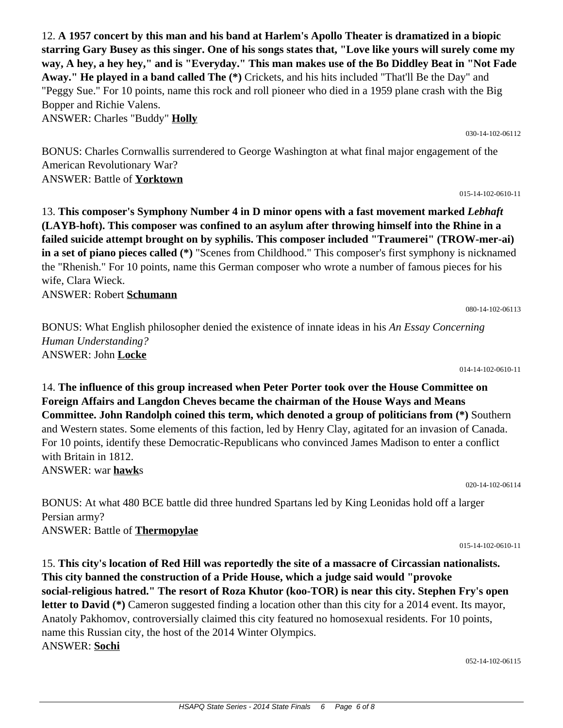12. **A 1957 concert by this man and his band at Harlem's Apollo Theater is dramatized in a biopic starring Gary Busey as this singer. One of his songs states that, "Love like yours will surely come my way, A hey, a hey hey," and is "Everyday." This man makes use of the Bo Diddley Beat in "Not Fade Away." He played in a band called The (\*)** Crickets, and his hits included "That'll Be the Day" and "Peggy Sue." For 10 points, name this rock and roll pioneer who died in a 1959 plane crash with the Big Bopper and Richie Valens.

ANSWER: Charles "Buddy" **Holly**

BONUS: Charles Cornwallis surrendered to George Washington at what final major engagement of the American Revolutionary War? ANSWER: Battle of **Yorktown**

13. **This composer's Symphony Number 4 in D minor opens with a fast movement marked** *Lebhaft* **(LAYB-hoft). This composer was confined to an asylum after throwing himself into the Rhine in a failed suicide attempt brought on by syphilis. This composer included "Traumerei" (TROW-mer-ai) in a set of piano pieces called (\*)** "Scenes from Childhood." This composer's first symphony is nicknamed the "Rhenish." For 10 points, name this German composer who wrote a number of famous pieces for his wife, Clara Wieck.

ANSWER: Robert **Schumann**

BONUS: What English philosopher denied the existence of innate ideas in his *An Essay Concerning Human Understanding?* ANSWER: John **Locke**

014-14-102-0610-11

14. **The influence of this group increased when Peter Porter took over the House Committee on Foreign Affairs and Langdon Cheves became the chairman of the House Ways and Means Committee. John Randolph coined this term, which denoted a group of politicians from (\*)** Southern and Western states. Some elements of this faction, led by Henry Clay, agitated for an invasion of Canada. For 10 points, identify these Democratic-Republicans who convinced James Madison to enter a conflict with Britain in 1812. ANSWER: war **hawk**s

020-14-102-06114

BONUS: At what 480 BCE battle did three hundred Spartans led by King Leonidas hold off a larger Persian army? ANSWER: Battle of **Thermopylae**

15. **This city's location of Red Hill was reportedly the site of a massacre of Circassian nationalists. This city banned the construction of a Pride House, which a judge said would "provoke social-religious hatred." The resort of Roza Khutor (koo-TOR) is near this city. Stephen Fry's open letter to David (\*)** Cameron suggested finding a location other than this city for a 2014 event. Its mayor, Anatoly Pakhomov, controversially claimed this city featured no homosexual residents. For 10 points, name this Russian city, the host of the 2014 Winter Olympics. ANSWER: **Sochi**

080-14-102-06113

015-14-102-0610-11

030-14-102-06112

015-14-102-0610-11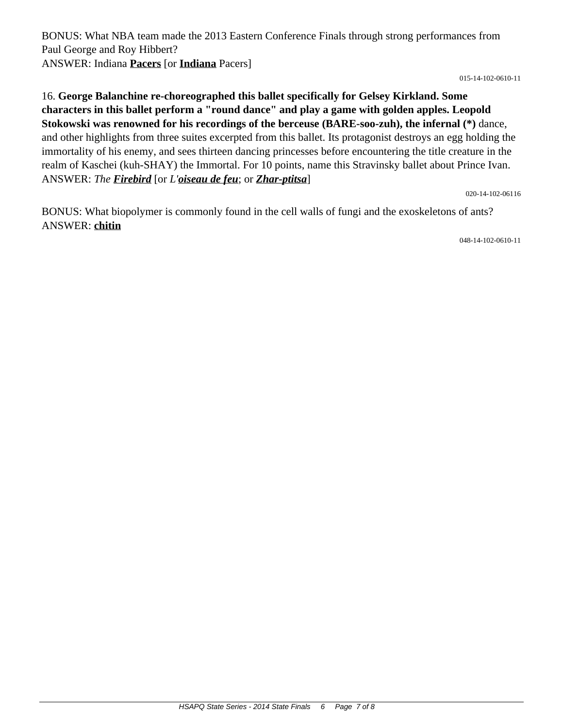BONUS: What NBA team made the 2013 Eastern Conference Finals through strong performances from Paul George and Roy Hibbert? ANSWER: Indiana **Pacers** [or **Indiana** Pacers]

015-14-102-0610-11

# 16. **George Balanchine re-choreographed this ballet specifically for Gelsey Kirkland. Some characters in this ballet perform a "round dance" and play a game with golden apples. Leopold Stokowski was renowned for his recordings of the berceuse (BARE-soo-zuh), the infernal (\*)** dance, and other highlights from three suites excerpted from this ballet. Its protagonist destroys an egg holding the immortality of his enemy, and sees thirteen dancing princesses before encountering the title creature in the realm of Kaschei (kuh-SHAY) the Immortal. For 10 points, name this Stravinsky ballet about Prince Ivan. ANSWER: *The Firebird* [or *L'oiseau de feu*; or *Zhar-ptitsa*]

020-14-102-06116

BONUS: What biopolymer is commonly found in the cell walls of fungi and the exoskeletons of ants? ANSWER: **chitin**